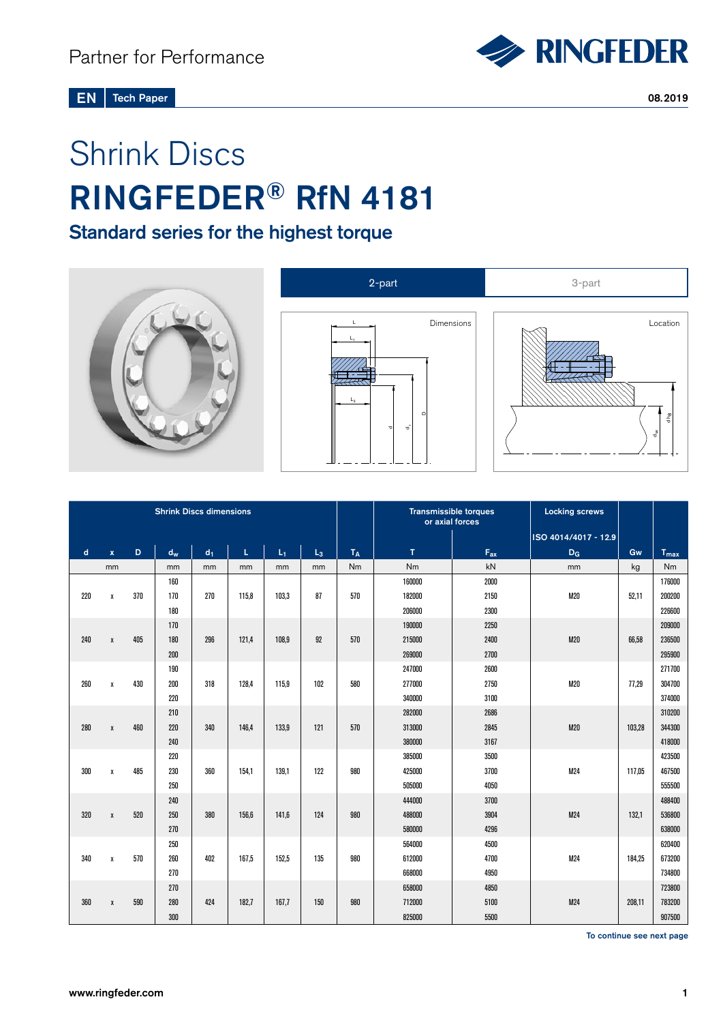

Tech Paper 2008.2019 EN

# Shrink Discs RINGFEDER® RfN 4181

Standard series for the highest torque







| <b>Shrink Discs dimensions</b> |              |     |       |       |                                                                                                             |       |                |       | <b>Transmissible torques</b><br>or axial forces |          | <b>Locking screws</b> |        |           |
|--------------------------------|--------------|-----|-------|-------|-------------------------------------------------------------------------------------------------------------|-------|----------------|-------|-------------------------------------------------|----------|-----------------------|--------|-----------|
|                                |              |     |       |       |                                                                                                             |       |                |       |                                                 |          | ISO 4014/4017 - 12.9  |        |           |
| $\mathbf d$                    | $\mathbf x$  | D   | $d_w$ | $d_1$ | $\mathsf{L}% _{0}\left( \mathsf{L}_{0}\right) ^{\ast }=\mathsf{L}_{0}\left( \mathsf{L}_{0}\right) ^{\ast }$ | $L_1$ | L <sub>3</sub> | $T_A$ | T.                                              | $F_{ax}$ | D <sub>G</sub>        | Gw     | $T_{max}$ |
|                                | mm           |     | mm    | mm    | mm                                                                                                          | mm    | mm             | Nm    | Nm                                              | kN       | mm                    | kg     | <b>Nm</b> |
|                                |              |     | 160   |       |                                                                                                             |       |                |       | 160000                                          | 2000     |                       |        | 176000    |
| 220                            | $\mathbf x$  | 370 | 170   | 270   | 115.8                                                                                                       | 103.3 | 87             | 570   | 182000                                          | 2150     | <b>M20</b>            | 52.11  | 200200    |
|                                |              |     | 180   |       |                                                                                                             |       |                |       | 206000                                          | 2300     |                       |        | 226600    |
|                                |              |     | 170   |       |                                                                                                             |       |                |       | 190000                                          | 2250     |                       |        | 209000    |
| 240                            | $\mathbf{x}$ | 405 | 180   | 296   | 121,4                                                                                                       | 108.9 | 92             | 570   | 215000                                          | 2400     | <b>M20</b>            | 66,58  | 236500    |
|                                |              |     | 200   |       |                                                                                                             |       |                |       | 269000                                          | 2700     |                       |        | 295900    |
|                                |              |     | 190   |       |                                                                                                             |       |                |       | 247000                                          | 2600     |                       |        | 271700    |
| 260                            | $\mathbf x$  | 430 | 200   | 318   | 128.4                                                                                                       | 115,9 | 102            | 580   | 277000                                          | 2750     | <b>M20</b>            | 77.29  | 304700    |
|                                |              |     | 220   |       |                                                                                                             |       |                |       | 340000                                          | 3100     |                       |        | 374000    |
|                                |              |     | 210   |       |                                                                                                             |       |                |       | 282000                                          | 2686     |                       |        | 310200    |
| 280                            | $\mathbf{x}$ | 460 | 220   | 340   | 146.4                                                                                                       | 133,9 | 121            | 570   | 313000                                          | 2845     | <b>M20</b>            | 103.28 | 344300    |
|                                |              |     | 240   |       |                                                                                                             |       |                |       | 380000                                          | 3167     |                       |        | 418000    |
|                                |              |     | 220   |       |                                                                                                             |       |                |       | 385000                                          | 3500     |                       |        | 423500    |
| 300                            | $\mathbf x$  | 485 | 230   | 360   | 154.1                                                                                                       | 139.1 | 122            | 980   | 425000                                          | 3700     | M24                   | 117.05 | 467500    |
|                                |              |     | 250   |       |                                                                                                             |       |                |       | 505000                                          | 4050     |                       |        | 555500    |
|                                |              |     | 240   |       |                                                                                                             |       |                |       | 444000                                          | 3700     |                       |        | 488400    |
| 320                            | $\mathbf{x}$ | 520 | 250   | 380   | 156.6                                                                                                       | 141,6 | 124            | 980   | 488000                                          | 3904     | M24                   | 132.1  | 536800    |
|                                |              |     | 270   |       |                                                                                                             |       |                |       | 580000                                          | 4296     |                       |        | 638000    |
|                                |              |     | 250   |       |                                                                                                             |       |                |       | 564000                                          | 4500     |                       |        | 620400    |
| 340                            | X            | 570 | 260   | 402   | 167,5                                                                                                       | 152,5 | 135            | 980   | 612000                                          | 4700     | M24                   | 184,25 | 673200    |
|                                |              |     | 270   |       |                                                                                                             |       |                |       | 668000                                          | 4950     |                       |        | 734800    |
|                                |              |     | 270   |       |                                                                                                             |       |                |       | 658000                                          | 4850     |                       |        | 723800    |
| 360                            | X            | 590 | 280   | 424   | 182.7                                                                                                       | 167,7 | 150            | 980   | 712000                                          | 5100     | M24                   | 208.11 | 783200    |
|                                |              |     | 300   |       |                                                                                                             |       |                |       | 825000                                          | 5500     |                       |        | 907500    |

To continue see next page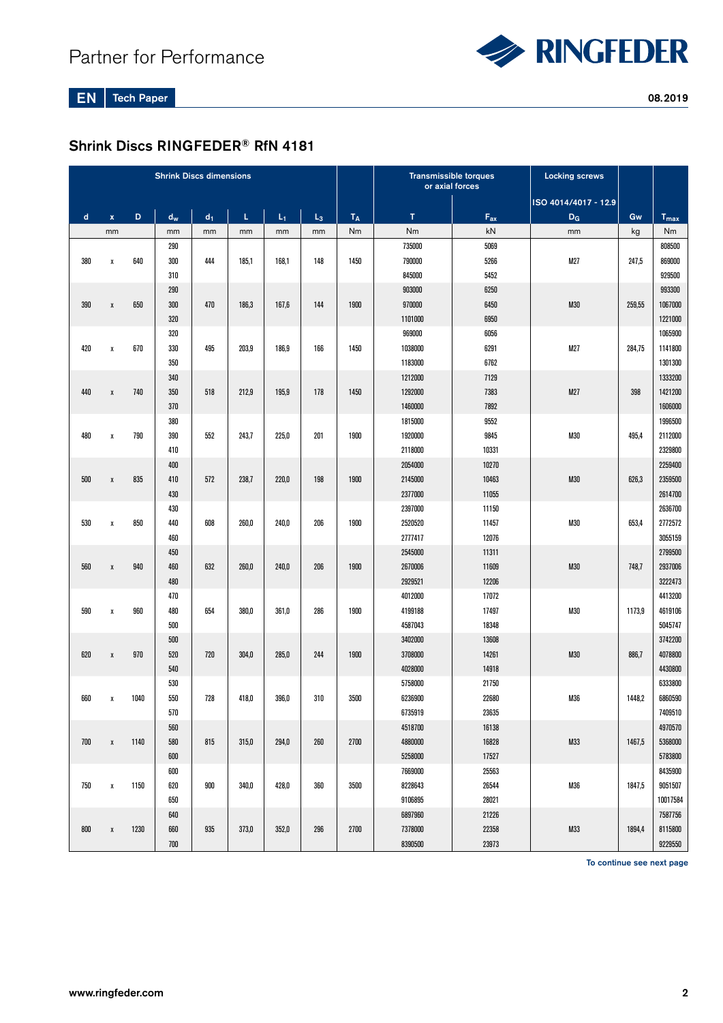

EN Tech Paper 208.2019

## Shrink Discs RINGFEDER® RfN 4181

| <b>Shrink Discs dimensions</b> |                    |      |       |                |       |       |                |                | <b>Transmissible torques</b><br>or axial forces |          | <b>Locking screws</b> |        |                  |
|--------------------------------|--------------------|------|-------|----------------|-------|-------|----------------|----------------|-------------------------------------------------|----------|-----------------------|--------|------------------|
|                                |                    |      |       |                |       |       |                |                |                                                 |          | ISO 4014/4017 - 12.9  |        |                  |
| $\mathbf d$                    | $\mathbf{x}$       | D    | $d_w$ | d <sub>1</sub> | L     | $L_1$ | $\mathsf{L}_3$ | T <sub>A</sub> | $\mathbf{T}$                                    | $F_{ax}$ | $D_G$                 | Gw     | $T_{\text{max}}$ |
|                                | mm                 |      | mm    | mm             | mm    | mm    | mm             | Nm             | Nm                                              | kN       | mm                    | kg     | Nm               |
|                                |                    |      | 290   |                |       |       |                |                | 735000                                          | 5069     |                       |        | 808500           |
| 380                            | χ                  | 640  | 300   | 444            | 185.1 | 168,1 | 148            | 1450           | 790000                                          | 5266     | M27                   | 247,5  | 869000           |
|                                |                    |      | 310   |                |       |       |                |                | 845000                                          | 5452     |                       |        | 929500           |
|                                |                    |      | 290   |                |       |       |                |                | 903000                                          | 6250     |                       |        | 993300           |
| 390                            | $\pmb{\mathsf{X}}$ | 650  | 300   | 470            | 186,3 | 167,6 | 144            | 1900           | 970000                                          | 6450     | M30                   | 259,55 | 1067000          |
|                                |                    |      | 320   |                |       |       |                |                | 1101000                                         | 6950     |                       |        | 1221000          |
|                                |                    |      | 320   |                |       |       |                |                | 969000                                          | 6056     |                       |        | 1065900          |
| 420                            | x                  | 670  | 330   | 495            | 203,9 | 186,9 | 166            | 1450           | 1038000                                         | 6291     | M27                   | 284,75 | 1141800          |
|                                |                    |      | 350   |                |       |       |                |                | 1183000                                         | 6762     |                       |        | 1301300          |
|                                |                    |      | 340   |                |       |       |                |                | 1212000                                         | 7129     |                       |        | 1333200          |
| 440                            | X                  | 740  | 350   | 518            | 212,9 | 195,9 | 178            | 1450           | 1292000                                         | 7383     | M27                   | 398    | 1421200          |
|                                |                    |      | 370   |                |       |       |                |                | 1460000                                         | 7892     |                       |        | 1606000          |
|                                |                    |      | 380   |                |       |       |                |                | 1815000                                         | 9552     |                       |        | 1996500          |
| 480                            | x                  | 790  | 390   | 552            | 243,7 | 225,0 | 201            | 1900           | 1920000                                         | 9845     | M30                   | 495,4  | 2112000          |
|                                |                    |      | 410   |                |       |       |                |                | 2118000                                         | 10331    |                       |        | 2329800          |
|                                |                    |      | 400   |                |       |       |                |                | 2054000                                         | 10270    |                       |        | 2259400          |
| 500                            | X                  | 835  | 410   | 572            | 238,7 | 220,0 | 198            | 1900           | 2145000                                         | 10463    | M30                   | 626,3  | 2359500          |
|                                |                    |      | 430   |                |       |       |                |                | 2377000                                         | 11055    |                       |        | 2614700          |
|                                |                    |      | 430   |                |       |       |                |                | 2397000                                         | 11150    |                       |        | 2636700          |
| 530                            | x                  | 850  | 440   | 608            | 260,0 | 240,0 | 206            | 1900           | 2520520                                         | 11457    | M30                   | 653,4  | 2772572          |
|                                |                    |      | 460   |                |       |       |                |                | 2777417                                         | 12076    |                       |        | 3055159          |
|                                |                    |      | 450   |                |       |       |                |                | 2545000                                         | 11311    |                       |        | 2799500          |
| 560                            | X                  | 940  | 460   | 632            | 260,0 | 240,0 | 206            | 1900           | 2670006                                         | 11609    | M30                   | 748,7  | 2937006          |
|                                |                    |      | 480   |                |       |       |                |                | 2929521                                         | 12206    |                       |        | 3222473          |
|                                |                    |      | 470   |                |       |       |                |                | 4012000                                         | 17072    |                       |        | 4413200          |
| 590                            | x                  | 960  | 480   | 654            | 380,0 | 361,0 | 286            | 1900           | 4199188                                         | 17497    | M30                   | 1173,9 | 4619106          |
|                                |                    |      | 500   |                |       |       |                |                | 4587043                                         | 18348    |                       |        | 5045747          |
|                                |                    |      | 500   |                |       |       |                |                | 3402000                                         | 13608    |                       |        | 3742200          |
| 620                            | X                  | 970  | 520   | 720            | 304,0 | 285,0 | 244            | 1900           | 3708000                                         | 14261    | M30                   | 886,7  | 4078800          |
|                                |                    |      | 540   |                |       |       |                |                | 4028000                                         | 14918    |                       |        | 4430800          |
|                                |                    |      | 530   |                |       |       |                |                | 5758000                                         | 21750    |                       |        | 6333800          |
| 660                            | X                  | 1040 | 550   | 728            | 418,0 | 396,0 | 310            | 3500           | 6236900                                         | 22680    | M36                   | 1448,2 | 6860590          |
|                                |                    |      | 570   |                |       |       |                |                | 6735919                                         | 23635    |                       |        | 7409510          |
|                                |                    |      | 560   |                |       |       |                |                | 4518700                                         | 16138    |                       |        | 4970570          |
| 700                            | $\pmb{\chi}$       | 1140 | 580   | 815            | 315,0 | 294,0 | 260            | 2700           | 4880000                                         | 16828    | M33                   | 1467,5 | 5368000          |
|                                |                    |      | 600   |                |       |       |                |                | 5258000                                         | 17527    |                       |        | 5783800          |
|                                |                    |      | 600   |                |       |       |                |                | 7669000                                         | 25563    |                       |        | 8435900          |
| 750                            | X                  | 1150 | 620   | 900            | 340,0 | 428,0 | 360            | 3500           | 8228643                                         | 26544    | M36                   | 1847,5 | 9051507          |
|                                |                    |      | 650   |                |       |       |                |                | 9106895                                         | 28021    |                       |        | 10017584         |
|                                |                    |      | 640   |                |       |       |                |                | 6897960                                         | 21226    |                       |        | 7587756          |
| 800                            | $\pmb{\mathsf{X}}$ | 1230 | 660   | 935            | 373,0 | 352,0 | 296            | 2700           | 7378000                                         | 22358    | M33                   | 1894,4 | 8115800          |
|                                |                    |      | 700   |                |       |       |                |                | 8390500                                         | 23973    |                       |        | 9229550          |

To continue see next page